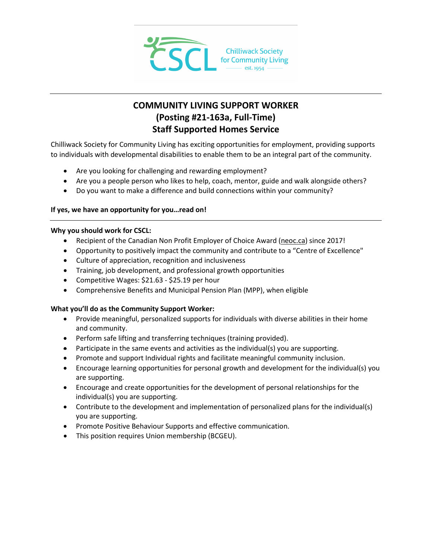

# **COMMUNITY LIVING SUPPORT WORKER (Posting #21-163a, Full-Time) Staff Supported Homes Service**

Chilliwack Society for Community Living has exciting opportunities for employment, providing supports to individuals with developmental disabilities to enable them to be an integral part of the community.

- Are you looking for challenging and rewarding employment?
- Are you a people person who likes to help, coach, mentor, guide and walk alongside others?
- Do you want to make a difference and build connections within your community?

## **If yes, we have an opportunity for you…read on!**

## **Why you should work for CSCL:**

- Recipient of the Canadian Non Profit Employer of Choice Award [\(neoc.ca\)](http://neoc.ca/) since 2017!
- Opportunity to positively impact the community and contribute to a "Centre of Excellence"
- Culture of appreciation, recognition and inclusiveness
- Training, job development, and professional growth opportunities
- Competitive Wages: \$21.63 \$25.19 per hour
- Comprehensive Benefits and Municipal Pension Plan (MPP), when eligible

## **What you'll do as the Community Support Worker:**

- Provide meaningful, personalized supports for individuals with diverse abilities in their home and community.
- Perform safe lifting and transferring techniques (training provided).
- Participate in the same events and activities as the individual(s) you are supporting.
- Promote and support Individual rights and facilitate meaningful community inclusion.
- Encourage learning opportunities for personal growth and development for the individual(s) you are supporting.
- Encourage and create opportunities for the development of personal relationships for the individual(s) you are supporting.
- Contribute to the development and implementation of personalized plans for the individual(s) you are supporting.
- Promote Positive Behaviour Supports and effective communication.
- This position requires Union membership (BCGEU).